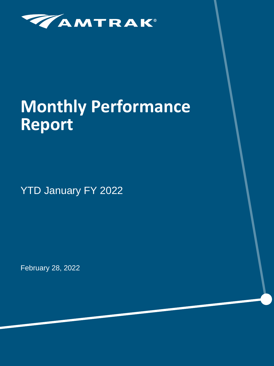

# **Monthly Performance Report**

YTD January FY 2022

February 28, 2022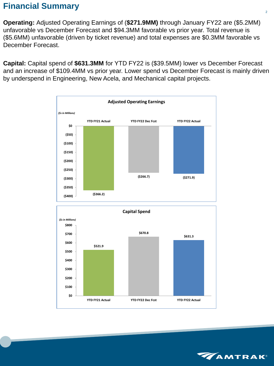# **Financial Summary**

**Operating:** Adjusted Operating Earnings of (**\$271.9MM)** through January FY22 are (\$5.2MM) unfavorable vs December Forecast and \$94.3MM favorable vs prior year. Total revenue is (\$5.6MM) unfavorable (driven by ticket revenue) and total expenses are \$0.3MM favorable vs December Forecast.

**Capital:** Capital spend of **\$631.3MM** for YTD FY22 is (\$39.5MM) lower vs December Forecast and an increase of \$109.4MM vs prior year. Lower spend vs December Forecast is mainly driven by underspend in Engineering, New Acela, and Mechanical capital projects.



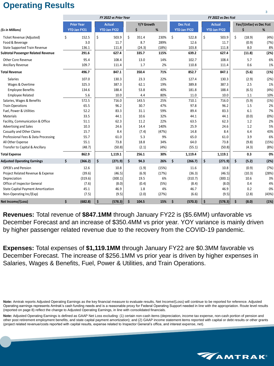# **Operating Results**

|                                           |    |                                          |                    | FY 2022 vs Prior Year                |    |            |       |    |                     | FY 2022 vs Dec Fcst |               |    |                         |       |
|-------------------------------------------|----|------------------------------------------|--------------------|--------------------------------------|----|------------|-------|----|---------------------|---------------------|---------------|----|-------------------------|-------|
|                                           |    | <b>Prior Year</b><br><b>YTD Jan FY21</b> |                    | <b>Actual</b><br><b>YTD Jan FY22</b> |    | Y/Y Growth |       |    | <b>Dec Fcst</b>     |                     | <b>Actual</b> |    | Fav/(Unfav) vs Dec Fcst |       |
| (\$s in Millions)                         |    |                                          |                    |                                      |    | Ś          | %     |    | <b>YTD Jan FY22</b> | <b>YTD Jan FY22</b> |               | %  |                         |       |
| Ticket Revenue (Adjusted)                 | \$ | 152.5                                    | \$                 | 503.9                                | \$ | 351.4      | 230%  | \$ | 522.8               | \$                  | 503.9         | \$ | (18.9)                  | (4%)  |
| Food & Beverage                           |    | 3.0                                      |                    | 11.7                                 |    | 8.7        | 289%  |    | 12.6                |                     | 11.7          |    | (0.9)                   | (7%)  |
| <b>State Supported Train Revenue</b>      |    | 136.1                                    |                    | 111.8                                |    | (24.3)     | (18%) |    | 103.8               |                     | 111.8         |    | 8.0                     | 8%    |
| <b>Subtotal Passenger Related Revenue</b> |    | 291.6                                    |                    | 627.4                                |    | 335.7      | 115%  |    | 639.2               |                     | 627.4         |    | (11.8)                  | (2%)  |
| <b>Other Core Revenue</b>                 |    | 95.4                                     |                    | 108.4                                |    | 13.0       | 14%   |    | 102.7               |                     | 108.4         |    | 5.7                     | 6%    |
| <b>Ancillary Revenue</b>                  |    | 109.7                                    |                    | 111.4                                |    | 1.7        | 2%    |    | 110.8               |                     | 111.4         |    | 0.6                     | 1%    |
| <b>Total Revenue</b>                      |    | 496.7                                    |                    | 847.1                                |    | 350.4      | 71%   |    | 852.7               |                     | 847.1         |    | (5.6)                   | (1%)  |
| Salaries                                  |    | 107.0                                    |                    | 130.3                                |    | 23.3       | 22%   |    | 127.4               |                     | 130.3         |    | (2.9)                   | (2%)  |
| Wages & Overtime                          |    | 325.3                                    |                    | 387.3                                |    | 62.1       | 19%   |    | 389.8               |                     | 387.3         |    | 2.5                     | 1%    |
| <b>Employee Benefits</b>                  |    | 134.6                                    |                    | 188.4                                |    | 53.8       | 40%   |    | 181.8               |                     | 188.4         |    | (6.5)                   | (4%)  |
| <b>Employee Related</b>                   |    | 5.6                                      |                    | 10.0                                 |    | 4.4        | 80%   |    | 11.0                |                     | 10.0          |    | 1.1                     | 10%   |
| Salaries, Wages & Benefits                |    | 572.5                                    |                    | 716.0                                |    | 143.5      | 25%   |    | 710.1               |                     | 716.0         |    | (5.9)                   | (1%)  |
| <b>Train Operations</b>                   |    | 65.5                                     |                    | 96.2                                 |    | 30.7       | 47%   |    | 97.8                |                     | 96.2          |    | 1.5                     | 2%    |
| Fuel, Power & Utilities                   |    | 52.2                                     |                    | 83.3                                 |    | 31.1       | 59%   |    | 89.4                |                     | 83.3          |    | 6.1                     | 7%    |
| Materials                                 |    | 33.5                                     |                    | 44.1                                 |    | 10.6       | 32%   |    | 44.1                |                     | 44.1          |    | (0.0)                   | (0%)  |
| Facility, Communication & Office          |    | 51.1                                     |                    | 62.3                                 |    | 11.2       | 22%   |    | 63.5                |                     | 62.3          |    | 1.2                     | 2%    |
| Advertising and Sales                     |    | 10.3                                     |                    | 24.6                                 |    | 14.4       | 140%  |    | 25.9                |                     | 24.6          |    | 1.2                     | 5%    |
| Casualty and Other Claims                 |    | 15.7                                     |                    | 8.4                                  |    | (7.4)      | (47%) |    | 14.8                |                     | 8.4           |    | 6.4                     | 43%   |
| Professional Fees & Data Processing       |    | 55.7                                     |                    | 61.0                                 |    | 5.3        | 9%    |    | 65.0                |                     | 61.0          |    | 3.9                     | 6%    |
| All Other Expense                         |    | 55.1                                     |                    | 73.8                                 |    | 18.8       | 34%   |    | 64.0                |                     | 73.8          |    | (9.8)                   | (15%) |
| Transfer to Capital & Ancillary           |    | (48.7)                                   |                    | (50.8)                               |    | (2.1)      | (4%)  |    | (55.1)              |                     | (50.8)        |    | (4.3)                   | (8%)  |
| <b>Total Expense</b>                      |    | 862.9                                    |                    | 1,119.1                              |    | 256.1      | 30%   |    | 1,119.4             |                     | 1,119.1       |    | 0.3                     | 0%    |
| <b>Adjusted Operating Earnings</b>        | \$ | (366.2)                                  | $\dot{\mathsf{S}}$ | (271.9)                              | \$ | 94.3       | 26%   | \$ | (266.7)             | \$                  | (271.9)       | \$ | (5.2)                   | (2%)  |
| <b>OPEB's and Pension</b>                 |    | 12.6                                     |                    | 10.8                                 |    | (1.9)      | (15%) |    | 11.6                |                     | 10.8          |    | (0.9)                   | (7%)  |
| Project Related Revenue & Expense         |    | (39.6)                                   |                    | (46.5)                               |    | (6.9)      | (17%) |    | (36.3)              |                     | (46.5)        |    | (10.3)                  | (28%) |
| Depreciation                              |    | (319.6)                                  |                    | (300.1)                              |    | 19.5       | 6%    |    | (310.7)             |                     | (300.1)       |    | 10.6                    | 3%    |
| Office of Inspector General               |    | (7.6)                                    |                    | (8.0)                                |    | (0.4)      | (5%)  |    | (8.4)               |                     | (8.0)         |    | 0.4                     | 4%    |
| <b>State Capital Payment Amortization</b> |    | 45.1                                     |                    | 46.9                                 |    | 1.8        | 4%    |    | 46.7                |                     | 46.9          |    | 0.2                     | 0%    |
| Non-Operating Inc/(Exp)                   |    | (7.5)                                    |                    | (9.5)                                |    | (2.0)      | (27%) |    | (6.6)               |                     | (9.5)         |    | (2.8)                   | (43%) |
| Net Income/(Loss)                         | \$ | (682.8)                                  | \$                 | (578.3)                              | \$ | 104.5      | 15%   | \$ | (570.3)             | \$                  | (578.3)       | \$ | (8.0)                   | (1%)  |

**Revenues:** Total revenue of **\$847.1MM** through January FY22 is (\$5.6MM) unfavorable vs December Forecast and an increase of \$350.4MM vs prior year. YOY variance is mainly driven by higher passenger related revenue due to the recovery from the COVID-19 pandemic.

**Expenses:** Total expenses of **\$1,119.1MM** through January FY22 are \$0.3MM favorable vs December Forecast. The increase of \$256.1MM vs prior year is driven by higher expenses in Salaries, Wages & Benefits, Fuel, Power & Utilities, and Train Operations.

**Note:** Adjusted Operating Earnings is defined as GAAP Net Loss excluding: (1) certain non-cash items (depreciation, income tax expense, non-cash portion of pension and other post retirement employment benefits, and state capital payment amortization); and (2) GAAP income statement items reported with capital or debt results or other grants (project related revenue/costs reported with capital results, expense related to Inspector General's office, and interest expense, net).

**Note:** Amtrak reports Adjusted Operating Earnings as the key financial measure to evaluate results, Net Income/(Loss) will continue to be reported for reference. Adjusted Operating earnings represents Amtrak's cash funding needs and is a reasonable proxy for Federal Operating Support needed in line with the appropriation. Route level results (reported on page 8) reflect the change to Adjusted Operating Earnings, in line with consolidated financials.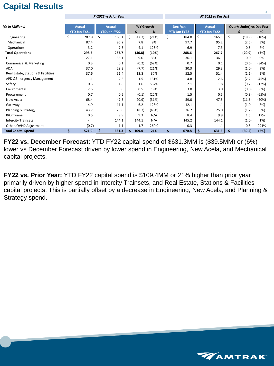# **Capital Results**

|                                    | <b>FY2022 vs Prior Year</b> |                                      |    |                                      |    |                        |       | FY 2022 vs Dec Fcst |                                        |    |                                      |    |                                 |       |  |  |
|------------------------------------|-----------------------------|--------------------------------------|----|--------------------------------------|----|------------------------|-------|---------------------|----------------------------------------|----|--------------------------------------|----|---------------------------------|-------|--|--|
| (\$s in Millions)                  |                             | <b>Actual</b><br><b>YTD Jan FY21</b> |    | <b>Actual</b><br><b>YTD Jan FY22</b> |    | Y/Y Growth<br>\$.<br>% |       |                     | <b>Dec Fcst</b><br><b>YTD Jan FY22</b> |    | <b>Actual</b><br><b>YTD Jan FY22</b> |    | <b>Over/(Under) vs Dec Fcst</b> |       |  |  |
| Engineering                        | \$                          | 207.8                                | \$ | 165.1                                | \$ | (42.7)                 | (21%) | \$                  | 184.0                                  | \$ | 165.1                                | \$ | (18.9)                          | (10%) |  |  |
| Mechanical                         |                             | 87.4                                 |    | 95.2                                 |    | 7.8                    | 9%    |                     | 97.7                                   |    | 95.2                                 |    | (2.5)                           | (3%)  |  |  |
| Operations                         |                             | 3.2                                  |    | 7.3                                  |    | 4.1                    | 128%  |                     | 6.9                                    |    | 7.3                                  |    | 0.5                             | 7%    |  |  |
| <b>Total Operations</b>            |                             | 298.5                                |    | 267.7                                |    | (30.8)                 | (10%) |                     | 288.6                                  |    | 267.7                                |    | (20.9)                          | (7%)  |  |  |
| ΙT                                 |                             | 27.1                                 |    | 36.1                                 |    | 9.0                    | 33%   |                     | 36.1                                   |    | 36.1                                 |    | 0.0                             | 0%    |  |  |
| <b>Commerical &amp; Marketing</b>  |                             | 0.3                                  |    | 0.1                                  |    | (0.2)                  | (62%) |                     | 0.7                                    |    | 0.1                                  |    | (0.6)                           | (84%) |  |  |
| <b>ADA</b>                         |                             | 37.0                                 |    | 29.3                                 |    | (7.7)                  | (21%) |                     | 30.3                                   |    | 29.3                                 |    | (1.0)                           | (3%)  |  |  |
| Real Estate, Stations & Facilities |                             | 37.6                                 |    | 51.4                                 |    | 13.8                   | 37%   |                     | 52.5                                   |    | 51.4                                 |    | (1.1)                           | (2%)  |  |  |
| APD & Emergency Management         |                             | 1.1                                  |    | 2.6                                  |    | 1.5                    | 131%  |                     | 4.8                                    |    | 2.6                                  |    | (2.2)                           | (45%) |  |  |
| Safety                             |                             | 0.3                                  |    | 1.8                                  |    | 1.6                    | 557%  |                     | 2.1                                    |    | 1.8                                  |    | (0.2)                           | (12%) |  |  |
| Enviromental                       |                             | 2.5                                  |    | 3.0                                  |    | 0.5                    | 19%   |                     | 3.0                                    |    | 3.0                                  |    | (0.0)                           | (0%)  |  |  |
| Procurement                        |                             | 0.7                                  |    | 0.5                                  |    | (0.1)                  | (22%) |                     | 1.5                                    |    | 0.5                                  |    | (0.9)                           | (65%) |  |  |
| New Acela                          |                             | 68.4                                 |    | 47.5                                 |    | (20.9)                 | (31%) |                     | 59.0                                   |    | 47.5                                 |    | (11.6)                          | (20%) |  |  |
| Gateway                            |                             | 4.9                                  |    | 11.1                                 |    | 6.2                    | 128%  |                     | 12.1                                   |    | 11.1                                 |    | (1.0)                           | (8%)  |  |  |
| Planning & Strategy                |                             | 43.7                                 |    | 25.0                                 |    | (18.7)                 | (43%) |                     | 26.2                                   |    | 25.0                                 |    | (1.2)                           | (5%)  |  |  |
| <b>B&amp;P Tunnel</b>              |                             | 0.5                                  |    | 9.9                                  |    | 9.3                    | N/A   |                     | 8.4                                    |    | 9.9                                  |    | 1.5                             | 17%   |  |  |
| <b>Intercity Trainsets</b>         |                             |                                      |    | 144.1                                |    | 144.1                  | N/A   |                     | 145.2                                  |    | 144.1                                |    | (1.0)                           | (1%)  |  |  |
| Other, OVHD Adjustment             |                             | (0.7)                                |    | 1.1                                  |    | 1.7                    | 260%  |                     | 0.3                                    |    | 1.1                                  |    | 0.8                             | 291%  |  |  |
| <b>Total Capital Spend</b>         | \$                          | 521.9                                | S  | 631.3                                | S. | 109.4                  | 21%   | \$                  | 670.8                                  | \$ | 631.3                                | \$ | (39.5)                          | (6%)  |  |  |

**FY22 vs. December Forecast**: YTD FY22 capital spend of \$631.3MM is (\$39.5MM) or (6%) lower vs December Forecast driven by lower spend in Engineering, New Acela, and Mechanical capital projects.

**FY22 vs. Prior Year:** YTD FY22 capital spend is \$109.4MM or 21% higher than prior year primarily driven by higher spend in Intercity Trainsets, and Real Estate, Stations & Facilities capital projects. This is partially offset by a decrease in Engineering, New Acela, and Planning & Strategy spend.

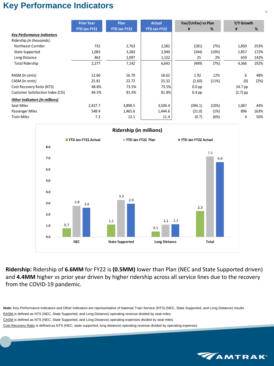## **Key Performance Indicators**

|                                          | <b>Prior Year</b>   | Plan         | <b>Actual</b>       | Fav/(Unfav) vs Plan |       | Y/Y Growth |      |  |
|------------------------------------------|---------------------|--------------|---------------------|---------------------|-------|------------|------|--|
|                                          | <b>YTD Jan FY21</b> | YTD Jan FY22 | <b>YTD Jan FY22</b> | #                   | %     | #          | %    |  |
| <b>Key Performance Indicators</b>        |                     |              |                     |                     |       |            |      |  |
| Ridership (in thousands):                |                     |              |                     |                     |       |            |      |  |
| <b>Northeast Corridor</b>                | 732                 | 2,763        | 2,582               | (181)               | (7%)  | 1,850      | 253% |  |
| <b>State Supported</b>                   | 1,083               | 3,283        | 2,940               | (344)               | (10%) | 1,857      | 172% |  |
| Long Distance                            | 463                 | 1,097        | 1,122               | 25                  | 2%    | 659        | 142% |  |
| <b>Total Ridership</b>                   | 2,277               | 7,142        | 6,643               | (499)               | (7%)  | 4,366      | 192% |  |
|                                          |                     |              |                     |                     |       |            |      |  |
| RASM (in cents)                          | 12.60               | 16.70        | 18.62               | 1.92                | 12%   | 6          | 48%  |  |
| CASM (in cents)                          | 25.81               | 22.72        | 25.32               | (2.60)              | (11%) | (0)        | (2%) |  |
| Cost Recovery Ratio (NTS)                | 48.8%               | 73.5%        | 73.5%               | $0.0$ pp            |       | 24.7 pp    |      |  |
| <b>Customer Satisfaction Index (CSI)</b> | 84.5%               | 81.4%        | 81.8%               | $0.4$ pp            |       | $(2.7)$ pp |      |  |
| <b>Other Indicators (in millions)</b>    |                     |              |                     |                     |       |            |      |  |
| Seat Miles                               | 2,437.7             | 3,898.5      | 3,504.4             | (394.1)             | (10%) | 1,067      | 44%  |  |
| Passenger Miles                          | 548.4               | 1,465.6      | 1,444.6             | (21.0)              | (1%)  | 896        | 163% |  |
| <b>Train Miles</b>                       | 7.3                 | 12.1         | 11.4                | (0.7)               | (6%)  | 4          | 56%  |  |



**Ridership:** Ridership of **6.6MM** for FY22 is **(0.5MM)** lower than Plan (NEC and State Supported driven) and **4.4MM** higher vs prior year driven by higher ridership across all service lines due to the recovery from the COVID-19 pandemic.

**Note:** Key Performance Indicators and Other Indicators are representative of National Train Service (NTS) (NEC, State Supported, and Long Distance) results RASM is defined as NTS (NEC, State Supported, and Long Distance) operating revenue divided by seat miles. CASM is defined as NTS (NEC, State Supported, and Long Distance) operating expenses divided by seat miles. Cost Recovery Ratio is defined as NTS (NEC, state supported, long distance) operating revenue divided by operating expenses

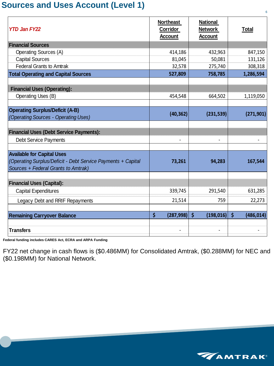### **Sources and Uses Account (Level 1)**

| <b>YTD Jan FY22</b>                                                                                                                      | <b>Northeast</b><br>Corridor<br><b>Account</b> | <b>National</b><br><b>Network</b><br><b>Account</b> | <b>Total</b>                       |
|------------------------------------------------------------------------------------------------------------------------------------------|------------------------------------------------|-----------------------------------------------------|------------------------------------|
| <b>Financial Sources</b>                                                                                                                 |                                                |                                                     |                                    |
| <b>Operating Sources (A)</b>                                                                                                             | 414,186                                        | 432,963                                             | 847,150                            |
| <b>Capital Sources</b>                                                                                                                   | 81,045                                         | 50,081                                              | 131,126                            |
| <b>Federal Grants to Amtrak</b>                                                                                                          | 32,578                                         | 275,740                                             | 308,318                            |
| <b>Total Operating and Capital Sources</b>                                                                                               | 527,809                                        | 758,785                                             | 1,286,594                          |
| <b>Financial Uses (Operating):</b>                                                                                                       |                                                |                                                     |                                    |
| <b>Operating Uses (B)</b>                                                                                                                | 454,548                                        | 664,502                                             | 1,119,050                          |
| <b>Operating Surplus/Deficit (A-B)</b><br>(Operating Sources - Operating Uses)                                                           | (40, 362)                                      | (231, 539)                                          | (271, 901)                         |
| <b>Financial Uses (Debt Service Payments):</b>                                                                                           |                                                |                                                     |                                    |
| <b>Debt Service Payments</b>                                                                                                             |                                                |                                                     |                                    |
| <b>Available for Capital Uses</b><br>(Operating Surplus/Deficit - Debt Service Payments + Capital<br>Sources + Federal Grants to Amtrak) | 73,261                                         | 94,283                                              | 167,544                            |
| <b>Financial Uses (Capital):</b>                                                                                                         |                                                |                                                     |                                    |
| <b>Capital Expenditures</b>                                                                                                              | 339,745                                        | 291,540                                             | 631,285                            |
| Legacy Debt and RRIF Repayments                                                                                                          | 21,514                                         | 759                                                 | 22,273                             |
| <b>Remaining Carryover Balance</b><br><b>Transfers</b>                                                                                   | $\varsigma$<br>(287, 998)                      | $\zeta$<br>(198, 016)                               | $\boldsymbol{\zeta}$<br>(486, 014) |
|                                                                                                                                          |                                                |                                                     |                                    |

**Federal funding includes CARES Act, ECRA and ARPA Funding**

FY22 net change in cash flows is (\$0.486MM) for Consolidated Amtrak, (\$0.288MM) for NEC and (\$0.198MM) for National Network.